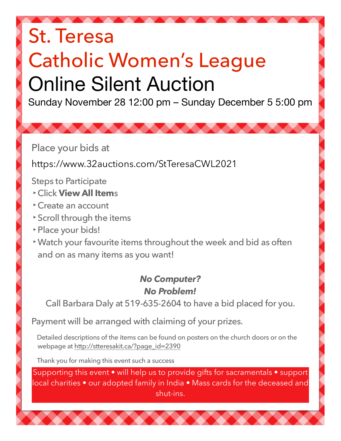## St. Teresa Catholic Women's League Online Silent Auction

Sunday November 28 12:00 pm – Sunday December 5 5:00 pm

Place your bids at

https://www.32auctions.com/StTeresaCWL2021

Steps to Participate

- **‣**Click **View All Item**s
- **‣**Create an account
- **‣**Scroll through the items
- **‣**Place your bids!
- **‣**Watch your favourite items throughout the week and bid as often and on as many items as you want!

## *No Computer? No Problem!*

Call Barbara Daly at 519-635-2604 to have a bid placed for you.

Payment will be arranged with claiming of your prizes.

Detailed descriptions of the items can be found on posters on the church doors or on the webpage at [http://stteresakit.ca/?page\\_id=2390](http://stteresakit.ca/?page_id=2390)

Thank you for making this event such a success

Supporting this event • will help us to provide gifts for sacramentals • support local charities • our adopted family in India • Mass cards for the deceased and shut-ins.